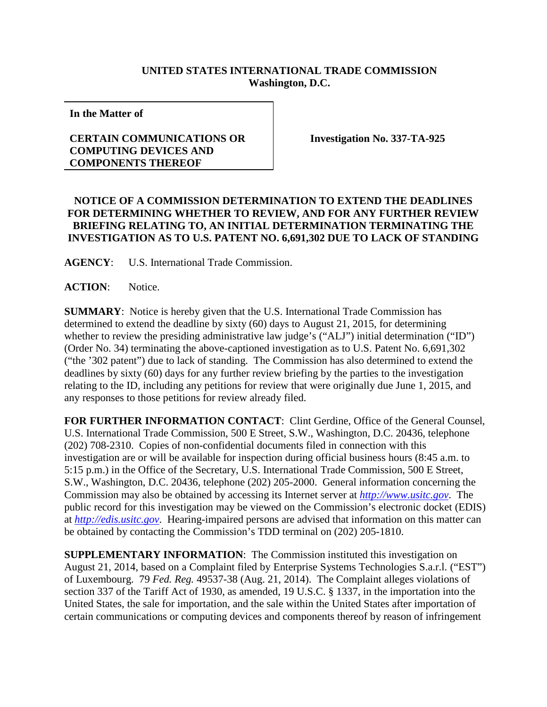## **UNITED STATES INTERNATIONAL TRADE COMMISSION Washington, D.C.**

**In the Matter of**

## **CERTAIN COMMUNICATIONS OR COMPUTING DEVICES AND COMPONENTS THEREOF**

**Investigation No. 337-TA-925**

## **NOTICE OF A COMMISSION DETERMINATION TO EXTEND THE DEADLINES FOR DETERMINING WHETHER TO REVIEW, AND FOR ANY FURTHER REVIEW BRIEFING RELATING TO, AN INITIAL DETERMINATION TERMINATING THE INVESTIGATION AS TO U.S. PATENT NO. 6,691,302 DUE TO LACK OF STANDING**

**AGENCY**: U.S. International Trade Commission.

**ACTION**: Notice.

**SUMMARY**: Notice is hereby given that the U.S. International Trade Commission has determined to extend the deadline by sixty (60) days to August 21, 2015, for determining whether to review the presiding administrative law judge's ("ALJ") initial determination ("ID") (Order No. 34) terminating the above-captioned investigation as to U.S. Patent No. 6,691,302 ("the '302 patent") due to lack of standing. The Commission has also determined to extend the deadlines by sixty (60) days for any further review briefing by the parties to the investigation relating to the ID, including any petitions for review that were originally due June 1, 2015, and any responses to those petitions for review already filed.

**FOR FURTHER INFORMATION CONTACT**: Clint Gerdine, Office of the General Counsel, U.S. International Trade Commission, 500 E Street, S.W., Washington, D.C. 20436, telephone (202) 708-2310. Copies of non-confidential documents filed in connection with this investigation are or will be available for inspection during official business hours (8:45 a.m. to 5:15 p.m.) in the Office of the Secretary, U.S. International Trade Commission, 500 E Street, S.W., Washington, D.C. 20436, telephone (202) 205-2000. General information concerning the Commission may also be obtained by accessing its Internet server at *[http://www.usitc.gov](http://www.usitc.gov/)*. The public record for this investigation may be viewed on the Commission's electronic docket (EDIS) at *[http://edis.usitc.gov](http://edis.usitc.gov/)*. Hearing-impaired persons are advised that information on this matter can be obtained by contacting the Commission's TDD terminal on (202) 205-1810.

**SUPPLEMENTARY INFORMATION**: The Commission instituted this investigation on August 21, 2014, based on a Complaint filed by Enterprise Systems Technologies S.a.r.l. ("EST") of Luxembourg. 79 *Fed. Reg.* 49537-38 (Aug. 21, 2014). The Complaint alleges violations of section 337 of the Tariff Act of 1930, as amended, 19 U.S.C. § 1337, in the importation into the United States, the sale for importation, and the sale within the United States after importation of certain communications or computing devices and components thereof by reason of infringement